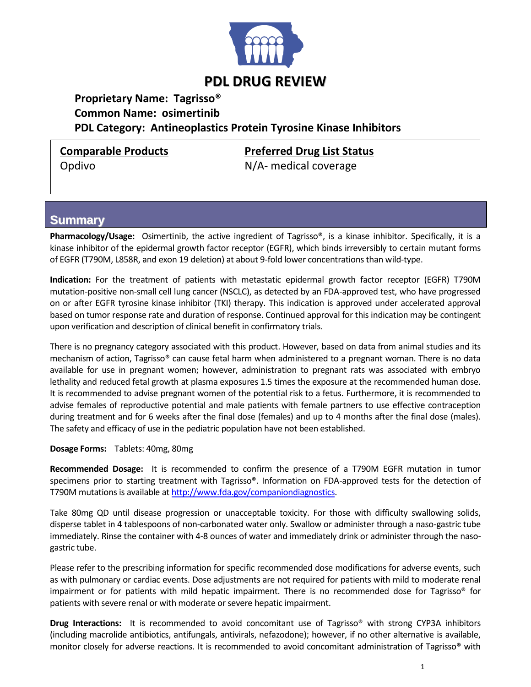

# **PDL DRUG REVIEW**

### **Proprietary Name: Tagrisso® Common Name: osimertinib PDL Category: Antineoplastics Protein Tyrosine Kinase Inhibitors**

Opdivo M/A- medical coverage

**Comparable Products Preferred Drug List Status**

### **Summary**

**Pharmacology/Usage:** Osimertinib, the active ingredient of Tagrisso®, is a kinase inhibitor. Specifically, it is a kinase inhibitor of the epidermal growth factor receptor (EGFR), which binds irreversibly to certain mutant forms of EGFR (T790M, L858R, and exon 19 deletion) at about 9-fold lower concentrations than wild-type.

**Indication:** For the treatment of patients with metastatic epidermal growth factor receptor (EGFR) T790M mutation-positive non-small cell lung cancer (NSCLC), as detected by an FDA-approved test, who have progressed on or after EGFR tyrosine kinase inhibitor (TKI) therapy. This indication is approved under accelerated approval based on tumor response rate and duration of response. Continued approval for this indication may be contingent upon verification and description of clinical benefit in confirmatory trials.

There is no pregnancy category associated with this product. However, based on data from animal studies and its mechanism of action, Tagrisso® can cause fetal harm when administered to a pregnant woman. There is no data available for use in pregnant women; however, administration to pregnant rats was associated with embryo lethality and reduced fetal growth at plasma exposures 1.5 times the exposure at the recommended human dose. It is recommended to advise pregnant women of the potential risk to a fetus. Furthermore, it is recommended to advise females of reproductive potential and male patients with female partners to use effective contraception during treatment and for 6 weeks after the final dose (females) and up to 4 months after the final dose (males). The safety and efficacy of use in the pediatric population have not been established.

#### **Dosage Forms:** Tablets: 40mg, 80mg

**Recommended Dosage:** It is recommended to confirm the presence of a T790M EGFR mutation in tumor specimens prior to starting treatment with Tagrisso®. Information on FDA-approved tests for the detection of T790M mutations is available a[t http://www.fda.gov/companiondiagnostics.](http://www.fda.gov/companiondiagnostics)

Take 80mg QD until disease progression or unacceptable toxicity. For those with difficulty swallowing solids, disperse tablet in 4 tablespoons of non-carbonated water only. Swallow or administer through a naso-gastric tube immediately. Rinse the container with 4-8 ounces of water and immediately drink or administer through the nasogastric tube.

Please refer to the prescribing information for specific recommended dose modifications for adverse events, such as with pulmonary or cardiac events. Dose adjustments are not required for patients with mild to moderate renal impairment or for patients with mild hepatic impairment. There is no recommended dose for Tagrisso® for patients with severe renal or with moderate or severe hepatic impairment.

**Drug Interactions:** It is recommended to avoid concomitant use of Tagrisso® with strong CYP3A inhibitors (including macrolide antibiotics, antifungals, antivirals, nefazodone); however, if no other alternative is available, monitor closely for adverse reactions. It is recommended to avoid concomitant administration of Tagrisso® with